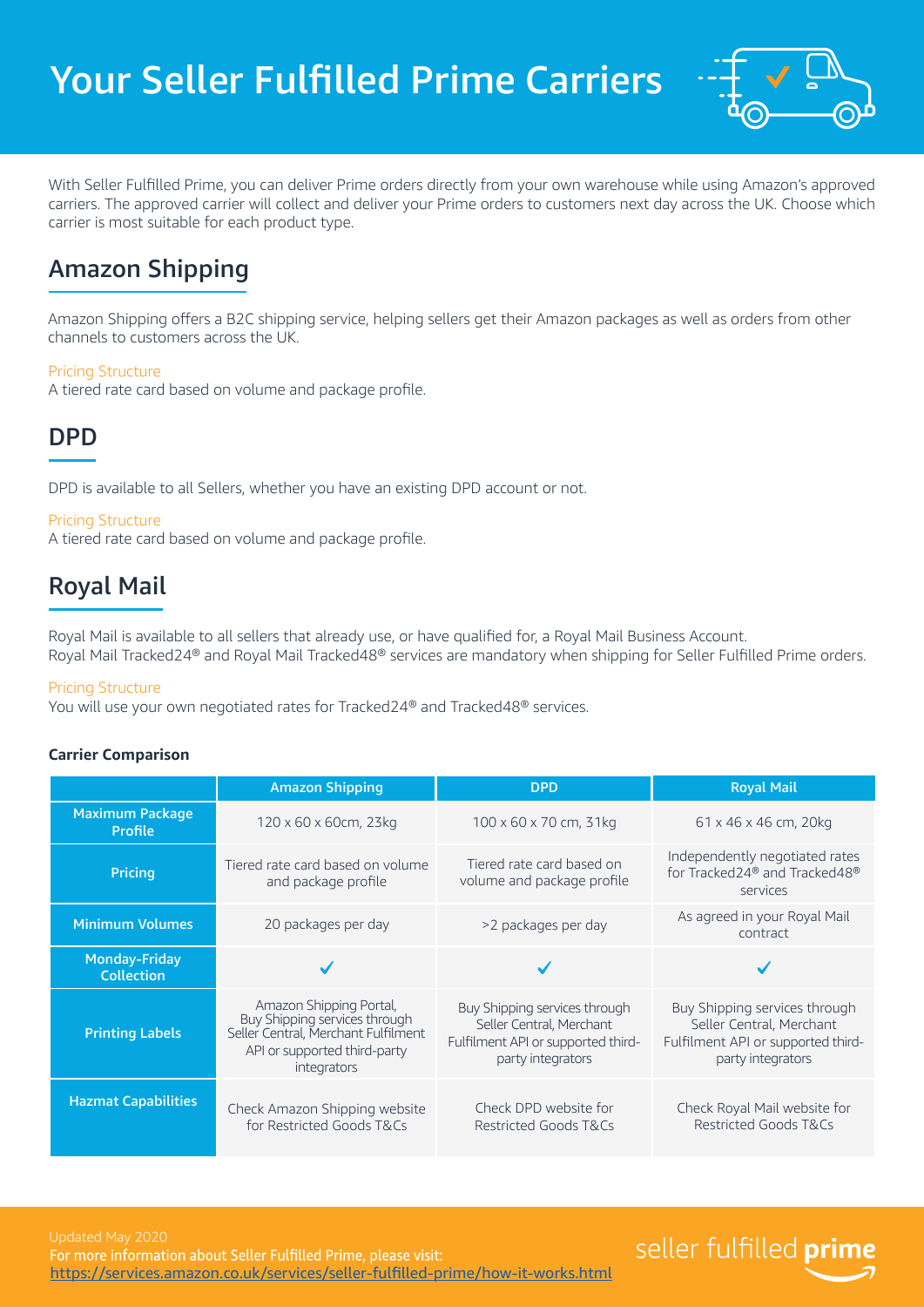

With Seller Fulfilled Prime, you can deliver Prime orders directly from your own warehouse while using Amazon's approved carriers. The approved carrier will collect and deliver your Prime orders to customers next day across the UK. Choose which carrier is most suitable for each product type.

## Amazon Shipping

Amazon Shipping offers a B2C shipping service, helping sellers get their Amazon packages as well as orders from other channels to customers across the UK.

### Pricing Structure

A tiered rate card based on volume and package profile.

## DPD

DPD is available to all Sellers, whether you have an existing DPD account or not.

### Pricing Structure

A tiered rate card based on volume and package profile.

## Royal Mail

Royal Mail is available to all sellers that already use, or have qualified for, a Royal Mail Business Account. Royal Mail Tracked24® and Royal Mail Tracked48® services are mandatory when shipping for Seller Fulfilled Prime orders.

### Pricing Structure

You will use your own negotiated rates for Tracked24® and Tracked48® services.

### **Carrier Comparison**

|                                           | <b>Amazon Shipping</b>                                                                                                                         | <b>DPD</b>                                                                                                           | <b>Royal Mail</b>                                                                                                    |
|-------------------------------------------|------------------------------------------------------------------------------------------------------------------------------------------------|----------------------------------------------------------------------------------------------------------------------|----------------------------------------------------------------------------------------------------------------------|
| <b>Maximum Package</b><br><b>Profile</b>  | 120 x 60 x 60cm, 23kg                                                                                                                          | 100 x 60 x 70 cm, 31kg                                                                                               | 61 x 46 x 46 cm, 20kg                                                                                                |
| <b>Pricing</b>                            | Tiered rate card based on volume<br>and package profile                                                                                        | Tiered rate card based on<br>volume and package profile                                                              | Independently negotiated rates<br>for Tracked24 <sup>®</sup> and Tracked48 <sup>®</sup><br>services                  |
| <b>Minimum Volumes</b>                    | 20 packages per day                                                                                                                            | >2 packages per day                                                                                                  | As agreed in your Royal Mail<br>contract                                                                             |
| <b>Monday-Friday</b><br><b>Collection</b> |                                                                                                                                                |                                                                                                                      |                                                                                                                      |
| <b>Printing Labels</b>                    | Amazon Shipping Portal,<br>Buy Shipping services through<br>Seller Central, Merchant Fulfilment<br>API or supported third-party<br>integrators | Buy Shipping services through<br>Seller Central, Merchant<br>Fulfilment API or supported third-<br>party integrators | Buy Shipping services through<br>Seller Central, Merchant<br>Fulfilment API or supported third-<br>party integrators |
| <b>Hazmat Capabilities</b>                | Check Amazon Shipping website<br>for Restricted Goods T&Cs                                                                                     | Check DPD website for<br>Restricted Goods T&Cs                                                                       | Check Royal Mail website for<br>Restricted Goods T&Cs                                                                |

# seller fulfilled prime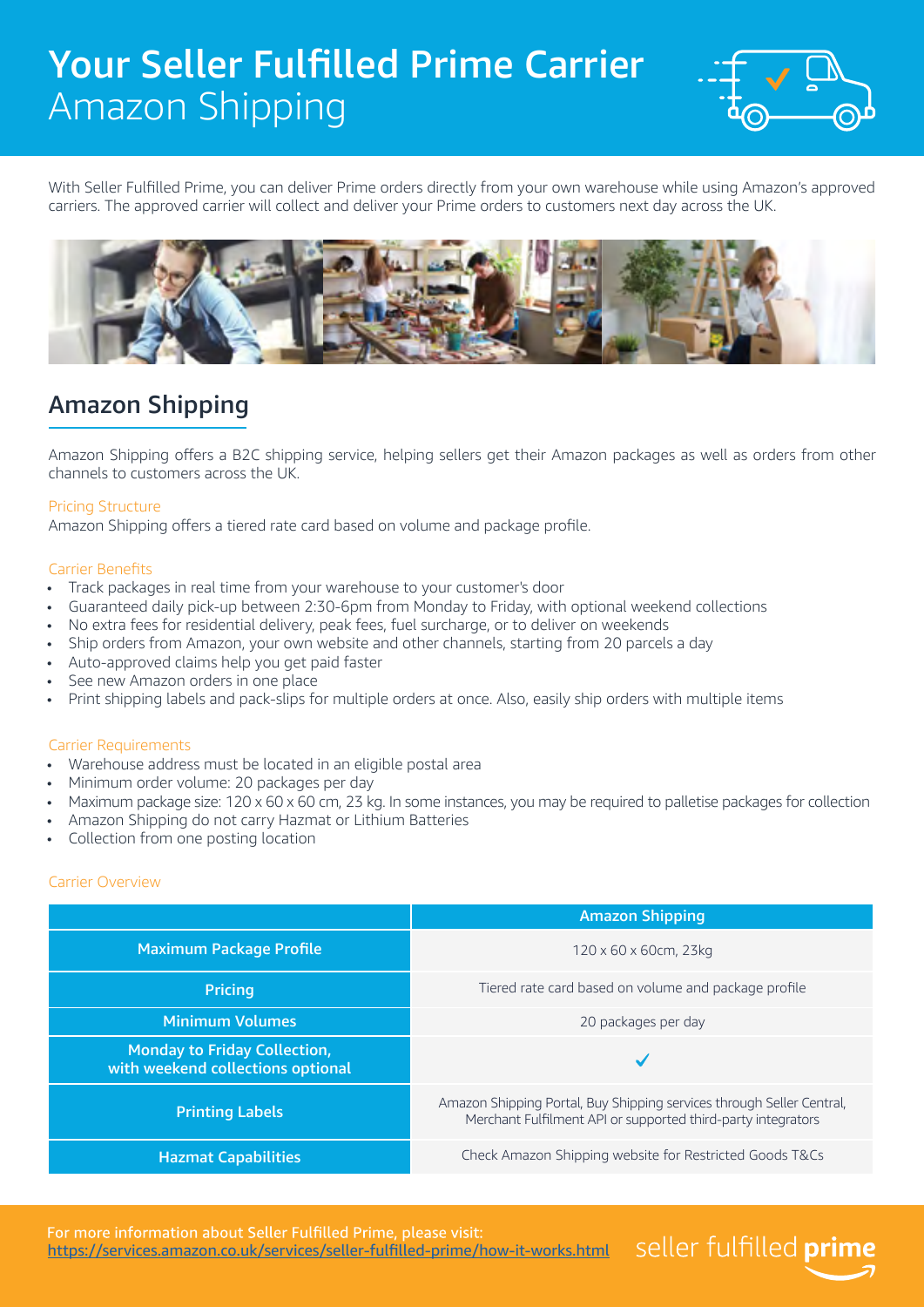# Your Seller Fulfilled Prime Carrier Amazon Shipping



seller fulfilled prime

With Seller Fulfilled Prime, you can deliver Prime orders directly from your own warehouse while using Amazon's approved carriers. The approved carrier will collect and deliver your Prime orders to customers next day across the UK.



## Amazon Shipping

Amazon Shipping offers a B2C shipping service, helping sellers get their Amazon packages as well as orders from other channels to customers across the UK.

### Pricing Structure

Amazon Shipping offers a tiered rate card based on volume and package profile.

#### Carrier Benefits

- Track packages in real time from your warehouse to your customer's door
- Guaranteed daily pick-up between 2:30-6pm from Monday to Friday, with optional weekend collections
- No extra fees for residential delivery, peak fees, fuel surcharge, or to deliver on weekends
- Ship orders from Amazon, your own website and other channels, starting from 20 parcels a day
- Auto-approved claims help you get paid faster
- See new Amazon orders in one place
- Print shipping labels and pack-slips for multiple orders at once. Also, easily ship orders with multiple items

#### Carrier Requirements

- Warehouse address must be located in an eligible postal area
- Minimum order volume: 20 packages per day
- Maximum package size: 120 x 60 x 60 cm, 23 kg. In some instances, you may be required to palletise packages for collection
- Amazon Shipping do not carry Hazmat or Lithium Batteries
- Collection from one posting location

### Carrier Overview

|                                                                          | <b>Amazon Shipping</b>                                                                                                                |
|--------------------------------------------------------------------------|---------------------------------------------------------------------------------------------------------------------------------------|
| <b>Maximum Package Profile</b>                                           | $120 \times 60 \times 60$ cm, 23kg                                                                                                    |
| <b>Pricing</b>                                                           | Tiered rate card based on volume and package profile                                                                                  |
| <b>Minimum Volumes</b>                                                   | 20 packages per day                                                                                                                   |
| <b>Monday to Friday Collection,</b><br>with weekend collections optional |                                                                                                                                       |
| <b>Printing Labels</b>                                                   | Amazon Shipping Portal, Buy Shipping services through Seller Central,<br>Merchant Fulfilment API or supported third-party integrators |
| <b>Hazmat Capabilities</b>                                               | Check Amazon Shipping website for Restricted Goods T&Cs                                                                               |

For more information about Seller Fulfilled Prime, please visit: <https://services.amazon.co.uk/services/seller-fulfilled-prime/how-it-works.html>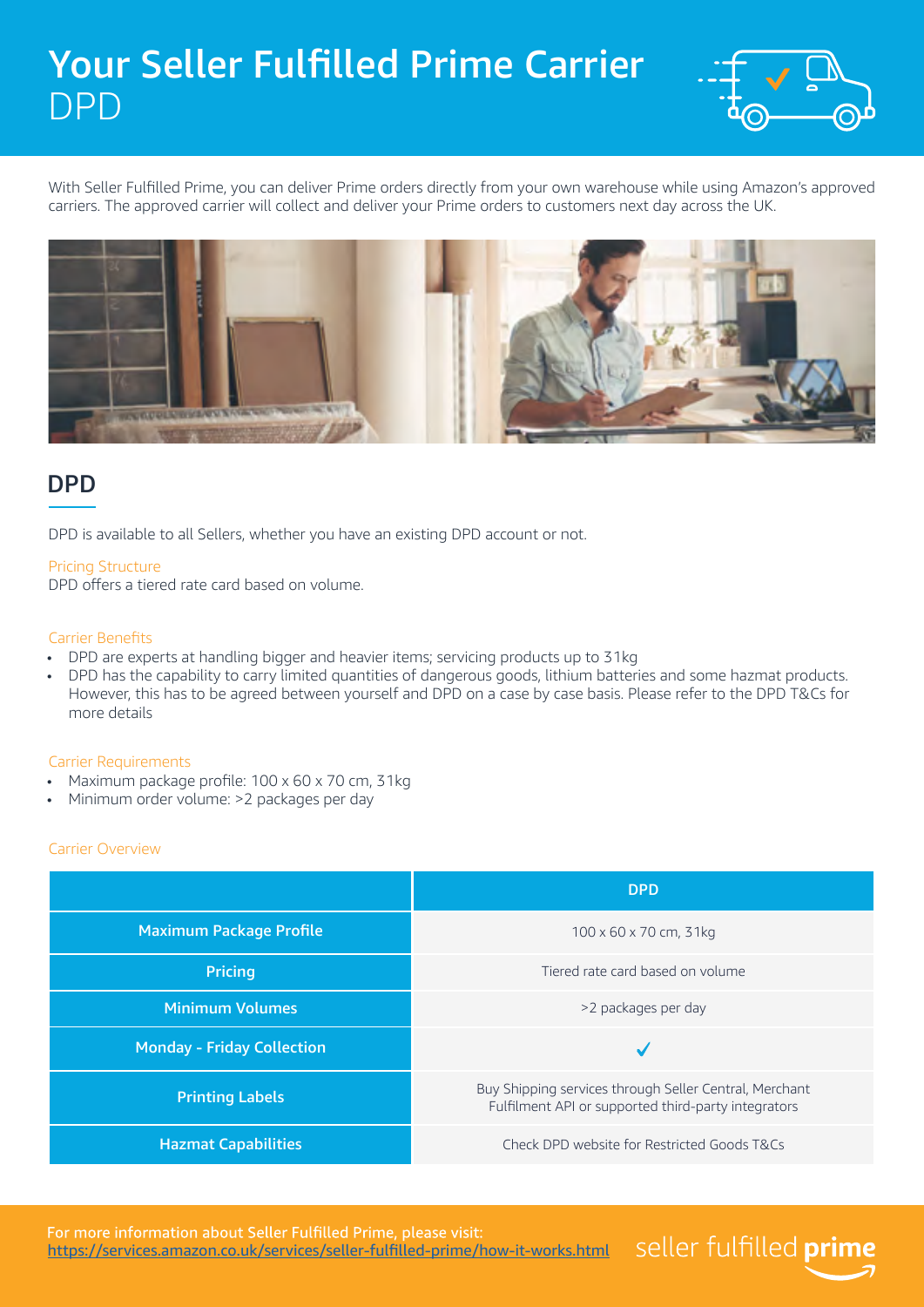# Your Seller Fulfilled Prime Carrier DPD



seller fulfilled prime

With Seller Fulfilled Prime, you can deliver Prime orders directly from your own warehouse while using Amazon's approved carriers. The approved carrier will collect and deliver your Prime orders to customers next day across the UK.



## **DPD**

DPD is available to all Sellers, whether you have an existing DPD account or not.

### Pricing Structure

DPD offers a tiered rate card based on volume.

### Carrier Benefits

- DPD are experts at handling bigger and heavier items; servicing products up to 31kg
- DPD has the capability to carry limited quantities of dangerous goods, lithium batteries and some hazmat products. However, this has to be agreed between yourself and DPD on a case by case basis. Please refer to the DPD T&Cs for more details

### Carrier Requirements

- Maximum package profile: 100 x 60 x 70 cm, 31kg
- Minimum order volume: >2 packages per day

### Carrier Overview

|                                   | <b>DPD</b>                                                                                                    |
|-----------------------------------|---------------------------------------------------------------------------------------------------------------|
| <b>Maximum Package Profile</b>    | $100 \times 60 \times 70$ cm, 31kg                                                                            |
| <b>Pricing</b>                    | Tiered rate card based on volume                                                                              |
| <b>Minimum Volumes</b>            | >2 packages per day                                                                                           |
| <b>Monday - Friday Collection</b> | $\checkmark$                                                                                                  |
| <b>Printing Labels</b>            | Buy Shipping services through Seller Central, Merchant<br>Fulfilment API or supported third-party integrators |
| <b>Hazmat Capabilities</b>        | Check DPD website for Restricted Goods T&Cs                                                                   |